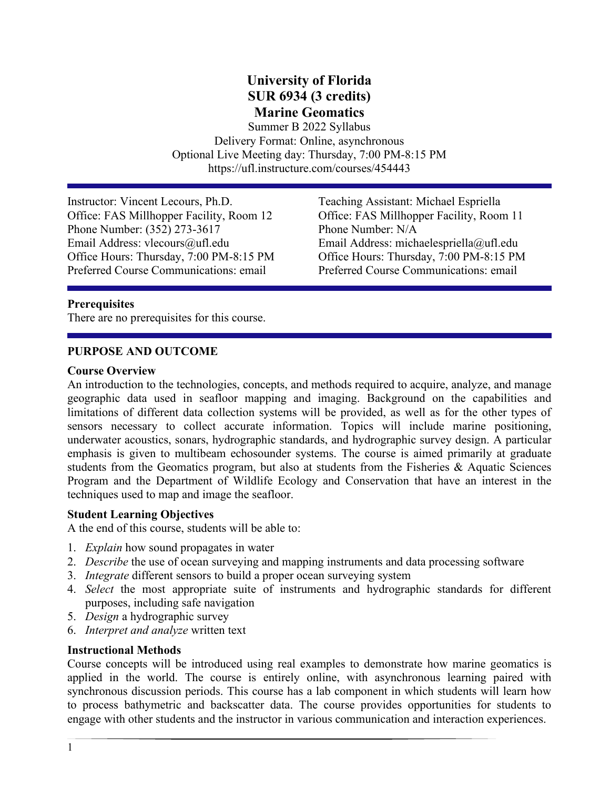# **University of Florida SUR 6934 (3 credits) Marine Geomatics**

Summer B 2022 Syllabus Delivery Format: Online, asynchronous Optional Live Meeting day: Thursday, 7:00 PM-8:15 PM https://ufl.instructure.com/courses/454443

Instructor: Vincent Lecours, Ph.D. Teaching Assistant: Michael Espriella Office: FAS Millhopper Facility, Room 12 Office: FAS Millhopper Facility, Room 11 Phone Number: (352) 273-3617<br>
Email Address: vlecours@ufl.edu<br>
Email Address: mich Office Hours: Thursday, 7:00 PM-8:15 PM Office Hours: Thursday, 7:00 PM-8:15 PM Preferred Course Communications: email Preferred Course Communications: email

Email Address: michaelespriella@ufl.edu

#### **Prerequisites**

There are no prerequisites for this course.

#### **PURPOSE AND OUTCOME**

#### **Course Overview**

An introduction to the technologies, concepts, and methods required to acquire, analyze, and manage geographic data used in seafloor mapping and imaging. Background on the capabilities and limitations of different data collection systems will be provided, as well as for the other types of sensors necessary to collect accurate information. Topics will include marine positioning, underwater acoustics, sonars, hydrographic standards, and hydrographic survey design. A particular emphasis is given to multibeam echosounder systems. The course is aimed primarily at graduate students from the Geomatics program, but also at students from the Fisheries & Aquatic Sciences Program and the Department of Wildlife Ecology and Conservation that have an interest in the techniques used to map and image the seafloor.

#### **Student Learning Objectives**

A the end of this course, students will be able to:

- 1. *Explain* how sound propagates in water
- 2. *Describe* the use of ocean surveying and mapping instruments and data processing software
- 3. *Integrate* different sensors to build a proper ocean surveying system
- 4. *Select* the most appropriate suite of instruments and hydrographic standards for different purposes, including safe navigation
- 5. *Design* a hydrographic survey
- 6. *Interpret and analyze* written text

#### **Instructional Methods**

Course concepts will be introduced using real examples to demonstrate how marine geomatics is applied in the world. The course is entirely online, with asynchronous learning paired with synchronous discussion periods. This course has a lab component in which students will learn how to process bathymetric and backscatter data. The course provides opportunities for students to engage with other students and the instructor in various communication and interaction experiences.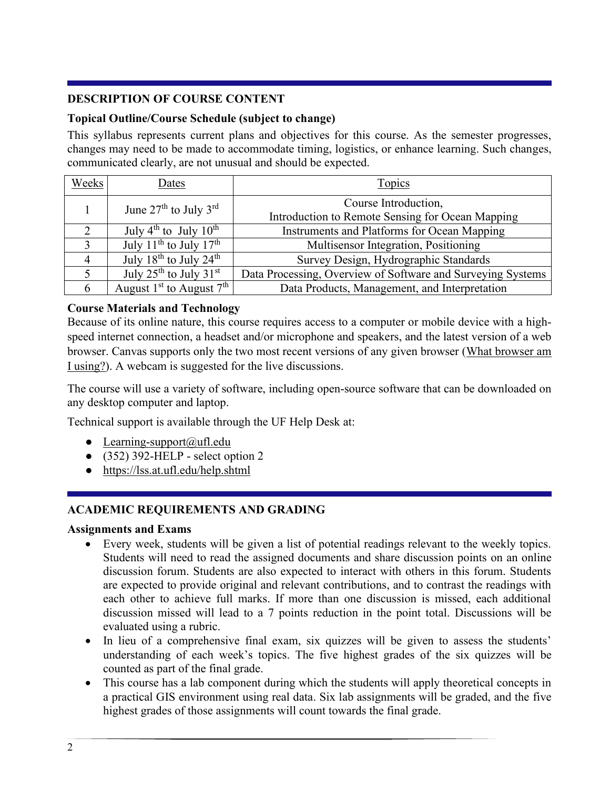## **DESCRIPTION OF COURSE CONTENT**

## **Topical Outline/Course Schedule (subject to change)**

This syllabus represents current plans and objectives for this course. As the semester progresses, changes may need to be made to accommodate timing, logistics, or enhance learning. Such changes, communicated clearly, are not unusual and should be expected.

| Weeks | Dates                                          | Topics                                                                   |  |  |  |  |  |  |
|-------|------------------------------------------------|--------------------------------------------------------------------------|--|--|--|--|--|--|
|       | June $27th$ to July $3rd$                      | Course Introduction,<br>Introduction to Remote Sensing for Ocean Mapping |  |  |  |  |  |  |
|       | July $4^{th}$ to July $10^{th}$                | Instruments and Platforms for Ocean Mapping                              |  |  |  |  |  |  |
| 3     | July 11 <sup>th</sup> to July 17 <sup>th</sup> | Multisensor Integration, Positioning                                     |  |  |  |  |  |  |
|       | July $18^{th}$ to July $24^{th}$               | Survey Design, Hydrographic Standards                                    |  |  |  |  |  |  |
|       | July $25^{\text{th}}$ to July $31^{\text{st}}$ | Data Processing, Overview of Software and Surveying Systems              |  |  |  |  |  |  |
| 6     | August $1st$ to August $7th$                   | Data Products, Management, and Interpretation                            |  |  |  |  |  |  |

### **Course Materials and Technology**

Because of its online nature, this course requires access to a computer or mobile device with a highspeed internet connection, a headset and/or microphone and speakers, and the latest version of a web browser. Canvas supports only the two most recent versions of any given browser [\(What browser am](http://whatbrowser.org/)  [I using?\)](http://whatbrowser.org/). A webcam is suggested for the live discussions.

The course will use a variety of software, including open-source software that can be downloaded on any desktop computer and laptop.

Technical support is available through the UF Help Desk at:

- Learning-support $(\partial \mu f)$ .edu
- $\bullet$  (352) 392-HELP select option 2
- <https://lss.at.ufl.edu/help.shtml>

## **ACADEMIC REQUIREMENTS AND GRADING**

#### **Assignments and Exams**

- Every week, students will be given a list of potential readings relevant to the weekly topics. Students will need to read the assigned documents and share discussion points on an online discussion forum. Students are also expected to interact with others in this forum. Students are expected to provide original and relevant contributions, and to contrast the readings with each other to achieve full marks. If more than one discussion is missed, each additional discussion missed will lead to a 7 points reduction in the point total. Discussions will be evaluated using a rubric.
- In lieu of a comprehensive final exam, six quizzes will be given to assess the students' understanding of each week's topics. The five highest grades of the six quizzes will be counted as part of the final grade.
- This course has a lab component during which the students will apply theoretical concepts in a practical GIS environment using real data. Six lab assignments will be graded, and the five highest grades of those assignments will count towards the final grade.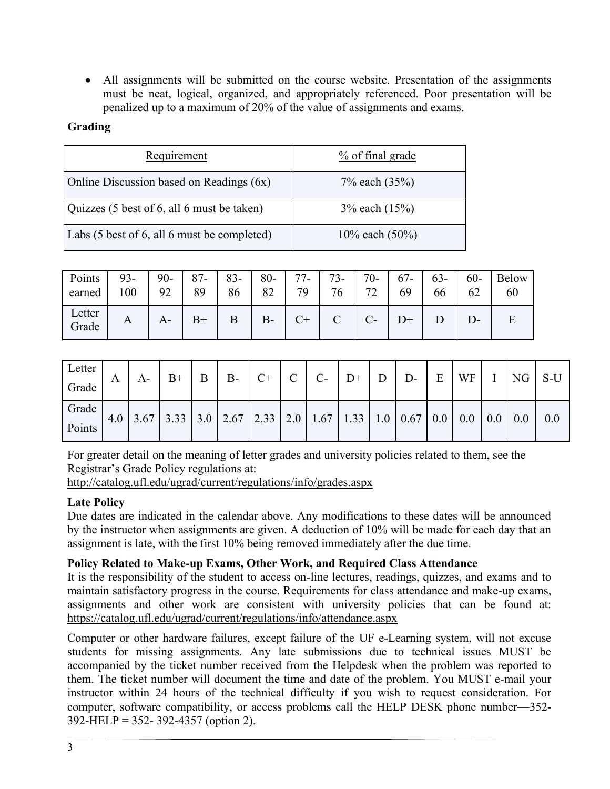• All assignments will be submitted on the course website. Presentation of the assignments must be neat, logical, organized, and appropriately referenced. Poor presentation will be penalized up to a maximum of 20% of the value of assignments and exams.

## **Grading**

| Requirement                                 | $\frac{9}{6}$ of final grade |
|---------------------------------------------|------------------------------|
| Online Discussion based on Readings (6x)    | 7% each (35%)                |
| Quizzes (5 best of 6, all 6 must be taken)  | $3\%$ each $(15\%)$          |
| Labs (5 best of 6, all 6 must be completed) | 10% each $(50\%)$            |

| Points  <br>earned | $93 -$<br>100 | $90 -$<br>92 | $87 -$<br>89 | $83-$<br>86 | $80-$<br>82 | $77-$<br>79 | $73 - 1$<br>76 | $70-$<br>70<br>∠ | $67 -$<br>69 | $63 - 1$<br>66 | $60 -$<br>62 | Below<br>60 |
|--------------------|---------------|--------------|--------------|-------------|-------------|-------------|----------------|------------------|--------------|----------------|--------------|-------------|
| Letter<br>Grade    | A             | A-           | $B+$         |             | $B-$        |             | $\Gamma$       |                  |              |                |              | E           |

| Letter |   | $A-$ | $B+$ | $B \mid B - C + C \mid C - D + D$                                                                                                                                                          |  |  |  | $E$ WF I NG S-U |  |  |
|--------|---|------|------|--------------------------------------------------------------------------------------------------------------------------------------------------------------------------------------------|--|--|--|-----------------|--|--|
| Grade  | A |      |      |                                                                                                                                                                                            |  |  |  |                 |  |  |
| Grade  |   |      |      | 4.0 $\mid$ 3.67 $\mid$ 3.33 $\mid$ 3.0 $\mid$ 2.67 $\mid$ 2.33 $\mid$ 2.0 $\mid$ 1.67 $\mid$ 1.33 $\mid$ 1.0 $\mid$ 0.67 $\mid$ 0.0 $\mid$ 0.0 $\mid$ 0.0 $\mid$ 0.0 $\mid$ 0.0 $\mid$ 0.0 |  |  |  |                 |  |  |
| Points |   |      |      |                                                                                                                                                                                            |  |  |  |                 |  |  |

For greater detail on the meaning of letter grades and university policies related to them, see the Registrar's Grade Policy regulations at:

<http://catalog.ufl.edu/ugrad/current/regulations/info/grades.aspx>

## **Late Policy**

Due dates are indicated in the calendar above. Any modifications to these dates will be announced by the instructor when assignments are given. A deduction of 10% will be made for each day that an assignment is late, with the first 10% being removed immediately after the due time.

## **Policy Related to Make-up Exams, Other Work, and Required Class Attendance**

It is the responsibility of the student to access on-line lectures, readings, quizzes, and exams and to maintain satisfactory progress in the course. Requirements for class attendance and make-up exams, assignments and other work are consistent with university policies that can be found at: <https://catalog.ufl.edu/ugrad/current/regulations/info/attendance.aspx>

Computer or other hardware failures, except failure of the UF e-Learning system, will not excuse students for missing assignments. Any late submissions due to technical issues MUST be accompanied by the ticket number received from the Helpdesk when the problem was reported to them. The ticket number will document the time and date of the problem. You MUST e-mail your instructor within 24 hours of the technical difficulty if you wish to request consideration. For computer, software compatibility, or access problems call the HELP DESK phone number—352- 392-HELP = 352- 392-4357 (option 2).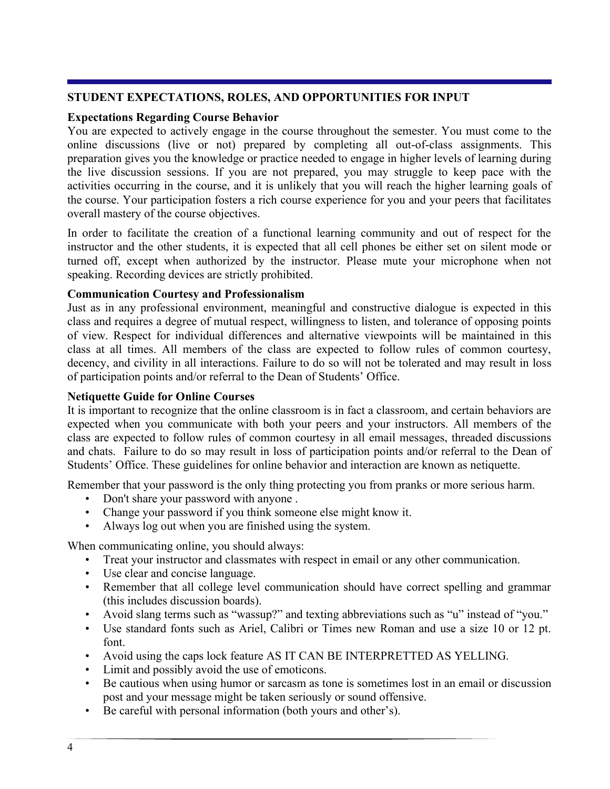#### **STUDENT EXPECTATIONS, ROLES, AND OPPORTUNITIES FOR INPUT**

### **Expectations Regarding Course Behavior**

You are expected to actively engage in the course throughout the semester. You must come to the online discussions (live or not) prepared by completing all out-of-class assignments. This preparation gives you the knowledge or practice needed to engage in higher levels of learning during the live discussion sessions. If you are not prepared, you may struggle to keep pace with the activities occurring in the course, and it is unlikely that you will reach the higher learning goals of the course. Your participation fosters a rich course experience for you and your peers that facilitates overall mastery of the course objectives.

In order to facilitate the creation of a functional learning community and out of respect for the instructor and the other students, it is expected that all cell phones be either set on silent mode or turned off, except when authorized by the instructor. Please mute your microphone when not speaking. Recording devices are strictly prohibited.

### **Communication Courtesy and Professionalism**

Just as in any professional environment, meaningful and constructive dialogue is expected in this class and requires a degree of mutual respect, willingness to listen, and tolerance of opposing points of view. Respect for individual differences and alternative viewpoints will be maintained in this class at all times. All members of the class are expected to follow rules of common courtesy, decency, and civility in all interactions. Failure to do so will not be tolerated and may result in loss of participation points and/or referral to the Dean of Students' Office.

### **Netiquette Guide for Online Courses**

It is important to recognize that the online classroom is in fact a classroom, and certain behaviors are expected when you communicate with both your peers and your instructors. All members of the class are expected to follow rules of common courtesy in all email messages, threaded discussions and chats. Failure to do so may result in loss of participation points and/or referral to the Dean of Students' Office. These guidelines for online behavior and interaction are known as netiquette.

Remember that your password is the only thing protecting you from pranks or more serious harm.

- Don't share your password with anyone .
- Change your password if you think someone else might know it.
- Always log out when you are finished using the system.

When communicating online, you should always:

- Treat your instructor and classmates with respect in email or any other communication.
- Use clear and concise language.
- Remember that all college level communication should have correct spelling and grammar (this includes discussion boards).
- Avoid slang terms such as "wassup?" and texting abbreviations such as "u" instead of "you."
- Use standard fonts such as Ariel, Calibri or Times new Roman and use a size 10 or 12 pt. font.
- Avoid using the caps lock feature AS IT CAN BE INTERPRETTED AS YELLING.
- Limit and possibly avoid the use of emoticons.
- Be cautious when using humor or sarcasm as tone is sometimes lost in an email or discussion post and your message might be taken seriously or sound offensive.
- Be careful with personal information (both yours and other's).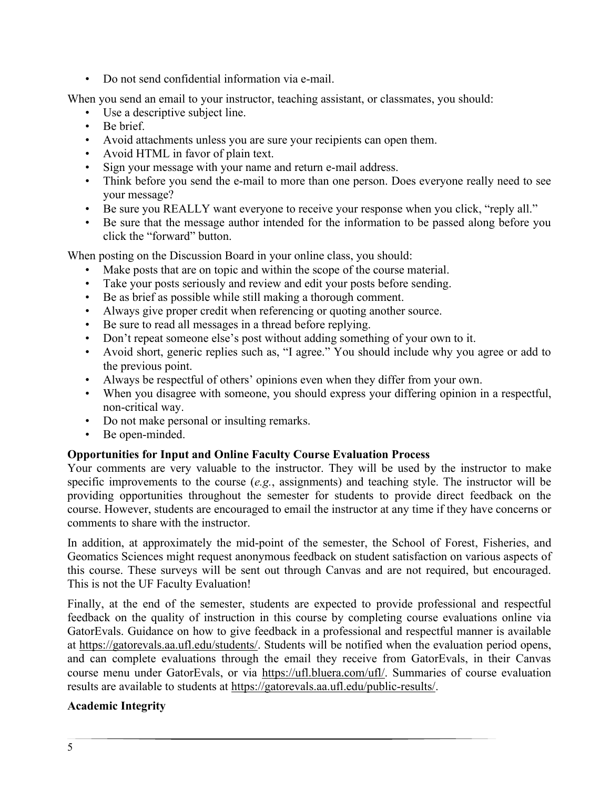• Do not send confidential information via e-mail.

When you send an email to your instructor, teaching assistant, or classmates, you should:

- Use a descriptive subject line.
- Be brief.
- Avoid attachments unless you are sure your recipients can open them.
- Avoid HTML in favor of plain text.
- Sign your message with your name and return e-mail address.
- Think before you send the e-mail to more than one person. Does everyone really need to see your message?
- Be sure you REALLY want everyone to receive your response when you click, "reply all."
- Be sure that the message author intended for the information to be passed along before you click the "forward" button.

When posting on the Discussion Board in your online class, you should:

- Make posts that are on topic and within the scope of the course material.
- Take your posts seriously and review and edit your posts before sending.
- Be as brief as possible while still making a thorough comment.
- Always give proper credit when referencing or quoting another source.
- Be sure to read all messages in a thread before replying.
- Don't repeat someone else's post without adding something of your own to it.
- Avoid short, generic replies such as, "I agree." You should include why you agree or add to the previous point.
- Always be respectful of others' opinions even when they differ from your own.
- When you disagree with someone, you should express your differing opinion in a respectful, non-critical way.
- Do not make personal or insulting remarks.
- Be open-minded.

## **Opportunities for Input and Online Faculty Course Evaluation Process**

Your comments are very valuable to the instructor. They will be used by the instructor to make specific improvements to the course (*e.g.*, assignments) and teaching style. The instructor will be providing opportunities throughout the semester for students to provide direct feedback on the course. However, students are encouraged to email the instructor at any time if they have concerns or comments to share with the instructor.

In addition, at approximately the mid-point of the semester, the School of Forest, Fisheries, and Geomatics Sciences might request anonymous feedback on student satisfaction on various aspects of this course. These surveys will be sent out through Canvas and are not required, but encouraged. This is not the UF Faculty Evaluation!

Finally, at the end of the semester, students are expected to provide professional and respectful feedback on the quality of instruction in this course by completing course evaluations online via GatorEvals. Guidance on how to give feedback in a professional and respectful manner is available at [https://gatorevals.aa.ufl.edu/students/.](https://gatorevals.aa.ufl.edu/students/) Students will be notified when the evaluation period opens, and can complete evaluations through the email they receive from GatorEvals, in their Canvas course menu under GatorEvals, or via [https://ufl.bluera.com/ufl/.](https://ufl.bluera.com/ufl/) Summaries of course evaluation results are available to students at [https://gatorevals.aa.ufl.edu/public-results/.](https://gatorevals.aa.ufl.edu/public-results/)

## **Academic Integrity**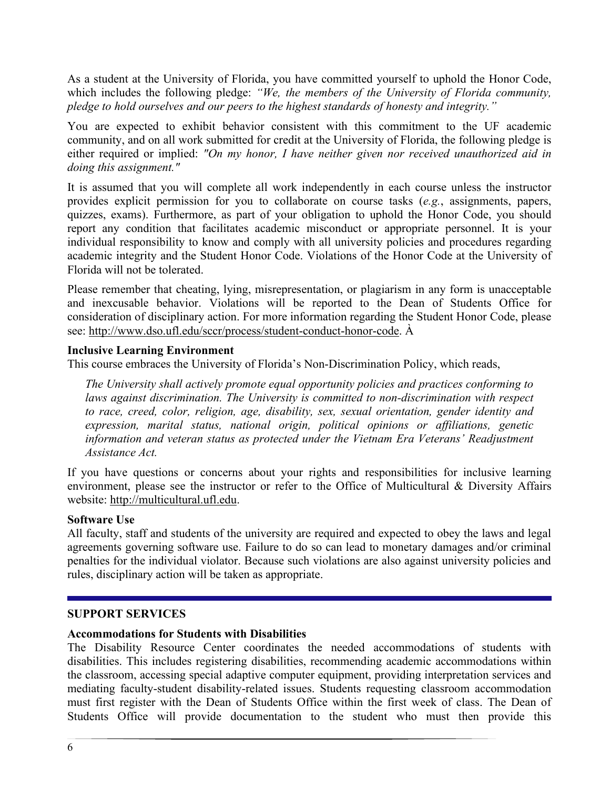As a student at the University of Florida, you have committed yourself to uphold the Honor Code, which includes the following pledge: *"We, the members of the University of Florida community, pledge to hold ourselves and our peers to the highest standards of honesty and integrity."*

You are expected to exhibit behavior consistent with this commitment to the UF academic community, and on all work submitted for credit at the University of Florida, the following pledge is either required or implied: *"On my honor, I have neither given nor received unauthorized aid in doing this assignment."*

It is assumed that you will complete all work independently in each course unless the instructor provides explicit permission for you to collaborate on course tasks (*e.g.*, assignments, papers, quizzes, exams). Furthermore, as part of your obligation to uphold the Honor Code, you should report any condition that facilitates academic misconduct or appropriate personnel. It is your individual responsibility to know and comply with all university policies and procedures regarding academic integrity and the Student Honor Code. Violations of the Honor Code at the University of Florida will not be tolerated.

Please remember that cheating, lying, misrepresentation, or plagiarism in any form is unacceptable and inexcusable behavior. Violations will be reported to the Dean of Students Office for consideration of disciplinary action. For more information regarding the Student Honor Code, please see: [http://www.dso.ufl.edu/sccr/process/student-conduct-honor-code.](http://www.dso.ufl.edu/sccr/process/student-conduct-honor-code) À

#### **Inclusive Learning Environment**

This course embraces the University of Florida's Non-Discrimination Policy, which reads,

*The University shall actively promote equal opportunity policies and practices conforming to laws against discrimination. The University is committed to non-discrimination with respect to race, creed, color, religion, age, disability, sex, sexual orientation, gender identity and expression, marital status, national origin, political opinions or affiliations, genetic information and veteran status as protected under the Vietnam Era Veterans' Readjustment Assistance Act.*

If you have questions or concerns about your rights and responsibilities for inclusive learning environment, please see the instructor or refer to the Office of Multicultural & Diversity Affairs website: [http://multicultural.ufl.edu.](http://multicultural.ufl.edu/)

#### **Software Use**

All faculty, staff and students of the university are required and expected to obey the laws and legal agreements governing software use. Failure to do so can lead to monetary damages and/or criminal penalties for the individual violator. Because such violations are also against university policies and rules, disciplinary action will be taken as appropriate.

#### **SUPPORT SERVICES**

#### **Accommodations for Students with Disabilities**

The Disability Resource Center coordinates the needed accommodations of students with disabilities. This includes registering disabilities, recommending academic accommodations within the classroom, accessing special adaptive computer equipment, providing interpretation services and mediating faculty-student disability-related issues. Students requesting classroom accommodation must first register with the Dean of Students Office within the first week of class. The Dean of Students Office will provide documentation to the student who must then provide this